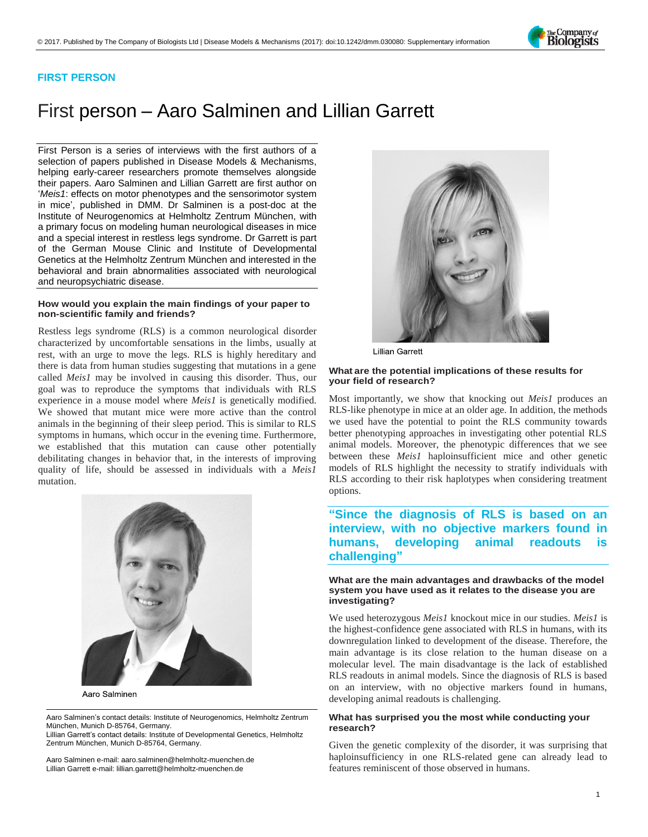Company of Biologists

### **FIRST PERSON**

# First person – Aaro Salminen and Lillian Garrett

First Person is a series of interviews with the first authors of a selection of papers published in Disease Models & Mechanisms, helping early-career researchers promote themselves alongside their papers. Aaro Salminen and Lillian Garrett are first author on '*Meis1*[: effects on motor phenotypes and the sensorimotor system](https://doi.org/10.1242/dmm.030080)  [in mice](https://doi.org/10.1242/dmm.030080)', published in DMM. Dr Salminen is a post-doc at the Institute of Neurogenomics at Helmholtz Zentrum München, with a primary focus on modeling human neurological diseases in mice and a special interest in restless legs syndrome. Dr Garrett is part of the German Mouse Clinic and Institute of Developmental Genetics at the Helmholtz Zentrum München and interested in the behavioral and brain abnormalities associated with neurological and neuropsychiatric disease.

### **How would you explain the main findings of your paper to non-scientific family and friends?**

Restless legs syndrome (RLS) is a common neurological disorder characterized by uncomfortable sensations in the limbs, usually at rest, with an urge to move the legs. RLS is highly hereditary and there is data from human studies suggesting that mutations in a gene called *Meis1* may be involved in causing this disorder. Thus, our goal was to reproduce the symptoms that individuals with RLS experience in a mouse model where *Meis1* is genetically modified. We showed that mutant mice were more active than the control animals in the beginning of their sleep period. This is similar to RLS symptoms in humans, which occur in the evening time. Furthermore, we established that this mutation can cause other potentially debilitating changes in behavior that, in the interests of improving quality of life, should be assessed in individuals with a *Meis1* mutation.



Aaro Salminen

Aaro Salminen's contact details: Institute of Neurogenomics, Helmholtz Zentrum München, Munich D-85764, Germany.

Lillian Garrett's contact details: Institute of Developmental Genetics, Helmholtz Zentrum München, Munich D-85764, Germany.

Aaro Salminen e-mail[: aaro.salminen@helmholtz-muenchen.de](mailto:aaro.salminen@helmholtz-muenchen.de) Lillian Garrett e-mail[: lillian.garrett@helmholtz-muenchen.de](mailto:lillian.garrett@helmholtz-muenchen.de)



**Lillian Garrett** 

### **What are the potential implications of these results for your field of research?**

Most importantly, we show that knocking out *Meis1* produces an RLS-like phenotype in mice at an older age. In addition, the methods we used have the potential to point the RLS community towards better phenotyping approaches in investigating other potential RLS animal models. Moreover, the phenotypic differences that we see between these *Meis1* haploinsufficient mice and other genetic models of RLS highlight the necessity to stratify individuals with RLS according to their risk haplotypes when considering treatment options.

## **"Since the diagnosis of RLS is based on an interview, with no objective markers found in humans, developing animal readouts is challenging"**

### **What are the main advantages and drawbacks of the model system you have used as it relates to the disease you are investigating?**

We used heterozygous *Meis1* knockout mice in our studies. *Meis1* is the highest-confidence gene associated with RLS in humans, with its downregulation linked to development of the disease. Therefore, the main advantage is its close relation to the human disease on a molecular level. The main disadvantage is the lack of established RLS readouts in animal models. Since the diagnosis of RLS is based on an interview, with no objective markers found in humans, developing animal readouts is challenging.

### **What has surprised you the most while conducting your research?**

Given the genetic complexity of the disorder, it was surprising that haploinsufficiency in one RLS-related gene can already lead to features reminiscent of those observed in humans.